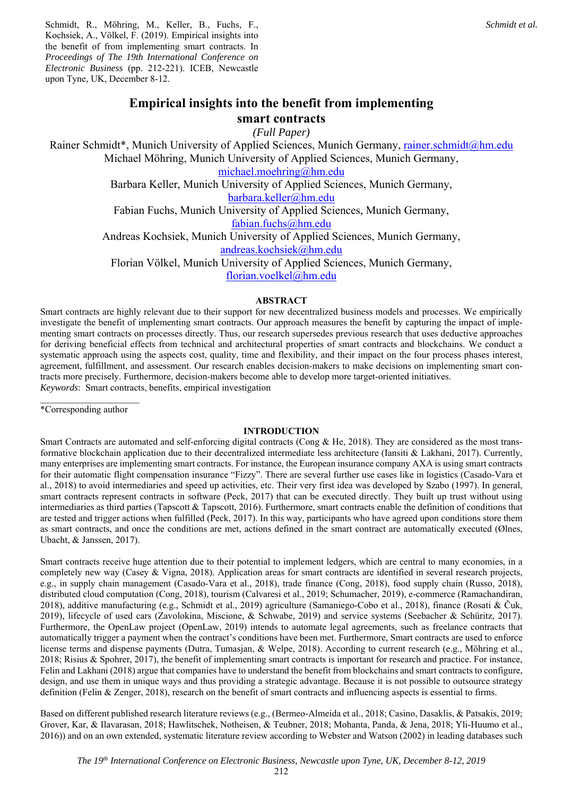*(Full Paper)* 

Rainer Schmidt\*, Munich University of Applied Sciences, Munich Germany, rainer.schmidt@hm.edu Michael Möhring, Munich University of Applied Sciences, Munich Germany, michael.moehring@hm.edu Barbara Keller, Munich University of Applied Sciences, Munich Germany, barbara.keller@hm.edu Fabian Fuchs, Munich University of Applied Sciences, Munich Germany, fabian.fuchs@hm.edu Andreas Kochsiek, Munich University of Applied Sciences, Munich Germany, andreas.kochsiek@hm.edu Florian Völkel, Munich University of Applied Sciences, Munich Germany,

florian.voelkel@hm.edu

## **ABSTRACT**

Smart contracts are highly relevant due to their support for new decentralized business models and processes. We empirically investigate the benefit of implementing smart contracts. Our approach measures the benefit by capturing the impact of implementing smart contracts on processes directly. Thus, our research supersedes previous research that uses deductive approaches for deriving beneficial effects from technical and architectural properties of smart contracts and blockchains. We conduct a systematic approach using the aspects cost, quality, time and flexibility, and their impact on the four process phases interest, agreement, fulfillment, and assessment. Our research enables decision-makers to make decisions on implementing smart contracts more precisely. Furthermore, decision-makers become able to develop more target-oriented initiatives. *Keywords*: Smart contracts, benefits, empirical investigation

\*Corresponding author

# **INTRODUCTION**

Smart Contracts are automated and self-enforcing digital contracts (Cong & He, 2018). They are considered as the most transformative blockchain application due to their decentralized intermediate less architecture (Iansiti & Lakhani, 2017). Currently, many enterprises are implementing smart contracts. For instance, the European insurance company AXA is using smart contracts for their automatic flight compensation insurance "Fizzy". There are several further use cases like in logistics (Casado-Vara et al., 2018) to avoid intermediaries and speed up activities, etc. Their very first idea was developed by Szabo (1997). In general, smart contracts represent contracts in software (Peck, 2017) that can be executed directly. They built up trust without using intermediaries as third parties (Tapscott & Tapscott, 2016). Furthermore, smart contracts enable the definition of conditions that are tested and trigger actions when fulfilled (Peck, 2017). In this way, participants who have agreed upon conditions store them as smart contracts, and once the conditions are met, actions defined in the smart contract are automatically executed (Ølnes, Ubacht, & Janssen, 2017).

Smart contracts receive huge attention due to their potential to implement ledgers, which are central to many economies, in a completely new way (Casey & Vigna, 2018). Application areas for smart contracts are identified in several research projects, e.g., in supply chain management (Casado-Vara et al., 2018), trade finance (Cong, 2018), food supply chain (Russo, 2018), distributed cloud computation (Cong, 2018), tourism (Calvaresi et al., 2019; Schumacher, 2019), e-commerce (Ramachandiran, 2018), additive manufacturing (e.g., Schmidt et al., 2019) agriculture (Samaniego-Cobo et al., 2018), finance (Rosati & Čuk, 2019), lifecycle of used cars (Zavolokina, Miscione, & Schwabe, 2019) and service systems (Seebacher & Schüritz, 2017). Furthermore, the OpenLaw project (OpenLaw, 2019) intends to automate legal agreements, such as freelance contracts that automatically trigger a payment when the contract's conditions have been met. Furthermore, Smart contracts are used to enforce license terms and dispense payments (Dutra, Tumasjan, & Welpe, 2018). According to current research (e.g., Möhring et al., 2018; Risius & Spohrer, 2017), the benefit of implementing smart contracts is important for research and practice. For instance, Felin and Lakhani (2018) argue that companies have to understand the benefit from blockchains and smart contracts to configure, design, and use them in unique ways and thus providing a strategic advantage. Because it is not possible to outsource strategy definition (Felin & Zenger, 2018), research on the benefit of smart contracts and influencing aspects is essential to firms.

Based on different published research literature reviews (e.g., (Bermeo-Almeida et al., 2018; Casino, Dasaklis, & Patsakis, 2019; Grover, Kar, & Ilavarasan, 2018; Hawlitschek, Notheisen, & Teubner, 2018; Mohanta, Panda, & Jena, 2018; Yli-Huumo et al., 2016)) and on an own extended, systematic literature review according to Webster and Watson (2002) in leading databases such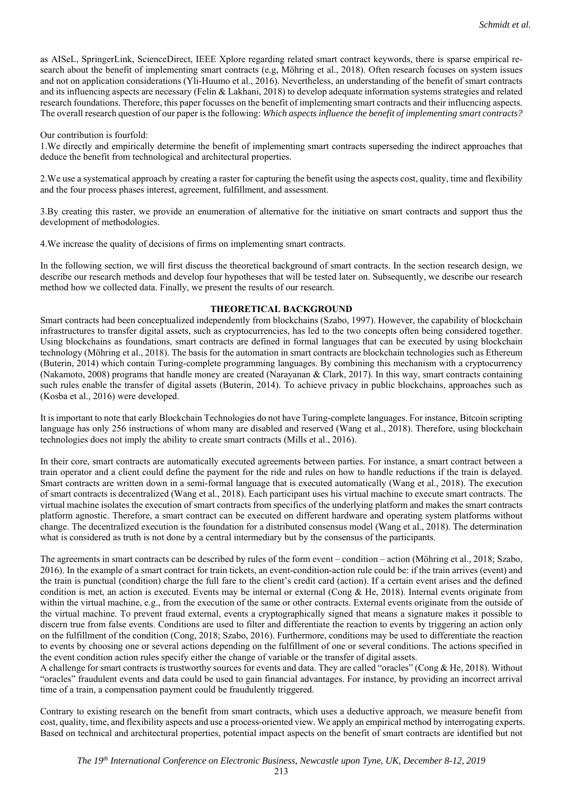as AISeL, SpringerLink, ScienceDirect, IEEE Xplore regarding related smart contract keywords, there is sparse empirical research about the benefit of implementing smart contracts (e.g, Möhring et al., 2018). Often research focuses on system issues and not on application considerations (Yli-Huumo et al., 2016). Nevertheless, an understanding of the benefit of smart contracts and its influencing aspects are necessary (Felin & Lakhani, 2018) to develop adequate information systems strategies and related research foundations. Therefore, this paper focusses on the benefit of implementing smart contracts and their influencing aspects. The overall research question of our paper is the following: *Which aspects influence the benefit of implementing smart contracts?* 

### Our contribution is fourfold:

1.We directly and empirically determine the benefit of implementing smart contracts superseding the indirect approaches that deduce the benefit from technological and architectural properties.

2.We use a systematical approach by creating a raster for capturing the benefit using the aspects cost, quality, time and flexibility and the four process phases interest, agreement, fulfillment, and assessment.

3.By creating this raster, we provide an enumeration of alternative for the initiative on smart contracts and support thus the development of methodologies.

4.We increase the quality of decisions of firms on implementing smart contracts.

In the following section, we will first discuss the theoretical background of smart contracts. In the section research design, we describe our research methods and develop four hypotheses that will be tested later on. Subsequently, we describe our research method how we collected data. Finally, we present the results of our research.

### **THEORETICAL BACKGROUND**

Smart contracts had been conceptualized independently from blockchains (Szabo, 1997). However, the capability of blockchain infrastructures to transfer digital assets, such as cryptocurrencies, has led to the two concepts often being considered together. Using blockchains as foundations, smart contracts are defined in formal languages that can be executed by using blockchain technology (Möhring et al., 2018). The basis for the automation in smart contracts are blockchain technologies such as Ethereum (Buterin, 2014) which contain Turing-complete programming languages. By combining this mechanism with a cryptocurrency (Nakamoto, 2008) programs that handle money are created (Narayanan & Clark, 2017). In this way, smart contracts containing such rules enable the transfer of digital assets (Buterin, 2014). To achieve privacy in public blockchains, approaches such as (Kosba et al., 2016) were developed.

It is important to note that early Blockchain Technologies do not have Turing-complete languages. For instance, Bitcoin scripting language has only 256 instructions of whom many are disabled and reserved (Wang et al., 2018). Therefore, using blockchain technologies does not imply the ability to create smart contracts (Mills et al., 2016).

In their core, smart contracts are automatically executed agreements between parties. For instance, a smart contract between a train operator and a client could define the payment for the ride and rules on how to handle reductions if the train is delayed. Smart contracts are written down in a semi-formal language that is executed automatically (Wang et al., 2018). The execution of smart contracts is decentralized (Wang et al., 2018). Each participant uses his virtual machine to execute smart contracts. The virtual machine isolates the execution of smart contracts from specifics of the underlying platform and makes the smart contracts platform agnostic. Therefore, a smart contract can be executed on different hardware and operating system platforms without change. The decentralized execution is the foundation for a distributed consensus model (Wang et al., 2018). The determination what is considered as truth is not done by a central intermediary but by the consensus of the participants.

The agreements in smart contracts can be described by rules of the form event – condition – action (Möhring et al., 2018; Szabo, 2016). In the example of a smart contract for train tickets, an event-condition-action rule could be: if the train arrives (event) and the train is punctual (condition) charge the full fare to the client's credit card (action). If a certain event arises and the defined condition is met, an action is executed. Events may be internal or external (Cong  $\&$  He, 2018). Internal events originate from within the virtual machine, e.g., from the execution of the same or other contracts. External events originate from the outside of the virtual machine. To prevent fraud external, events a cryptographically signed that means a signature makes it possible to discern true from false events. Conditions are used to filter and differentiate the reaction to events by triggering an action only on the fulfillment of the condition (Cong, 2018; Szabo, 2016). Furthermore, conditions may be used to differentiate the reaction to events by choosing one or several actions depending on the fulfillment of one or several conditions. The actions specified in the event condition action rules specify either the change of variable or the transfer of digital assets.

A challenge for smart contracts is trustworthy sources for events and data. They are called "oracles" (Cong & He, 2018). Without "oracles" fraudulent events and data could be used to gain financial advantages. For instance, by providing an incorrect arrival time of a train, a compensation payment could be fraudulently triggered.

Contrary to existing research on the benefit from smart contracts, which uses a deductive approach, we measure benefit from cost, quality, time, and flexibility aspects and use a process-oriented view. We apply an empirical method by interrogating experts. Based on technical and architectural properties, potential impact aspects on the benefit of smart contracts are identified but not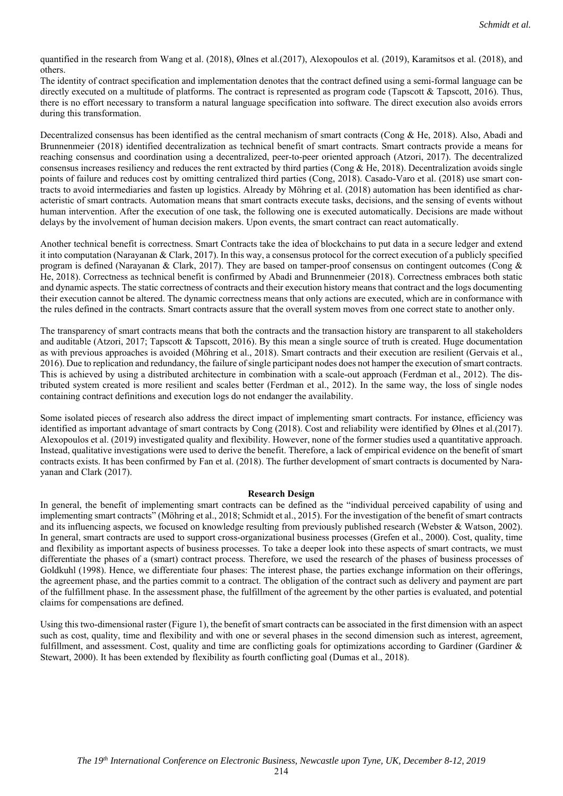quantified in the research from Wang et al. (2018), Ølnes et al.(2017), Alexopoulos et al. (2019), Karamitsos et al. (2018), and others.

The identity of contract specification and implementation denotes that the contract defined using a semi-formal language can be directly executed on a multitude of platforms. The contract is represented as program code (Tapscott & Tapscott, 2016). Thus, there is no effort necessary to transform a natural language specification into software. The direct execution also avoids errors during this transformation.

Decentralized consensus has been identified as the central mechanism of smart contracts (Cong & He, 2018). Also, Abadi and Brunnenmeier (2018) identified decentralization as technical benefit of smart contracts. Smart contracts provide a means for reaching consensus and coordination using a decentralized, peer-to-peer oriented approach (Atzori, 2017). The decentralized consensus increases resiliency and reduces the rent extracted by third parties (Cong & He, 2018). Decentralization avoids single points of failure and reduces cost by omitting centralized third parties (Cong, 2018). Casado-Varo et al. (2018) use smart contracts to avoid intermediaries and fasten up logistics. Already by Möhring et al. (2018) automation has been identified as characteristic of smart contracts. Automation means that smart contracts execute tasks, decisions, and the sensing of events without human intervention. After the execution of one task, the following one is executed automatically. Decisions are made without delays by the involvement of human decision makers. Upon events, the smart contract can react automatically.

Another technical benefit is correctness. Smart Contracts take the idea of blockchains to put data in a secure ledger and extend it into computation (Narayanan & Clark, 2017). In this way, a consensus protocol for the correct execution of a publicly specified program is defined (Narayanan & Clark, 2017). They are based on tamper-proof consensus on contingent outcomes (Cong & He, 2018). Correctness as technical benefit is confirmed by Abadi and Brunnenmeier (2018). Correctness embraces both static and dynamic aspects. The static correctness of contracts and their execution history means that contract and the logs documenting their execution cannot be altered. The dynamic correctness means that only actions are executed, which are in conformance with the rules defined in the contracts. Smart contracts assure that the overall system moves from one correct state to another only.

The transparency of smart contracts means that both the contracts and the transaction history are transparent to all stakeholders and auditable (Atzori, 2017; Tapscott & Tapscott, 2016). By this mean a single source of truth is created. Huge documentation as with previous approaches is avoided (Möhring et al., 2018). Smart contracts and their execution are resilient (Gervais et al., 2016). Due to replication and redundancy, the failure of single participant nodes does not hamper the execution of smart contracts. This is achieved by using a distributed architecture in combination with a scale-out approach (Ferdman et al., 2012). The distributed system created is more resilient and scales better (Ferdman et al., 2012). In the same way, the loss of single nodes containing contract definitions and execution logs do not endanger the availability.

Some isolated pieces of research also address the direct impact of implementing smart contracts. For instance, efficiency was identified as important advantage of smart contracts by Cong (2018). Cost and reliability were identified by Ølnes et al.(2017). Alexopoulos et al. (2019) investigated quality and flexibility. However, none of the former studies used a quantitative approach. Instead, qualitative investigations were used to derive the benefit. Therefore, a lack of empirical evidence on the benefit of smart contracts exists. It has been confirmed by Fan et al. (2018). The further development of smart contracts is documented by Narayanan and Clark (2017).

### **Research Design**

In general, the benefit of implementing smart contracts can be defined as the "individual perceived capability of using and implementing smart contracts" (Möhring et al., 2018; Schmidt et al., 2015). For the investigation of the benefit of smart contracts and its influencing aspects, we focused on knowledge resulting from previously published research (Webster & Watson, 2002). In general, smart contracts are used to support cross-organizational business processes (Grefen et al., 2000). Cost, quality, time and flexibility as important aspects of business processes. To take a deeper look into these aspects of smart contracts, we must differentiate the phases of a (smart) contract process. Therefore, we used the research of the phases of business processes of Goldkuhl (1998). Hence, we differentiate four phases: The interest phase, the parties exchange information on their offerings, the agreement phase, and the parties commit to a contract. The obligation of the contract such as delivery and payment are part of the fulfillment phase. In the assessment phase, the fulfillment of the agreement by the other parties is evaluated, and potential claims for compensations are defined.

Using this two-dimensional raster (Figure 1), the benefit of smart contracts can be associated in the first dimension with an aspect such as cost, quality, time and flexibility and with one or several phases in the second dimension such as interest, agreement, fulfillment, and assessment. Cost, quality and time are conflicting goals for optimizations according to Gardiner (Gardiner & Stewart, 2000). It has been extended by flexibility as fourth conflicting goal (Dumas et al., 2018).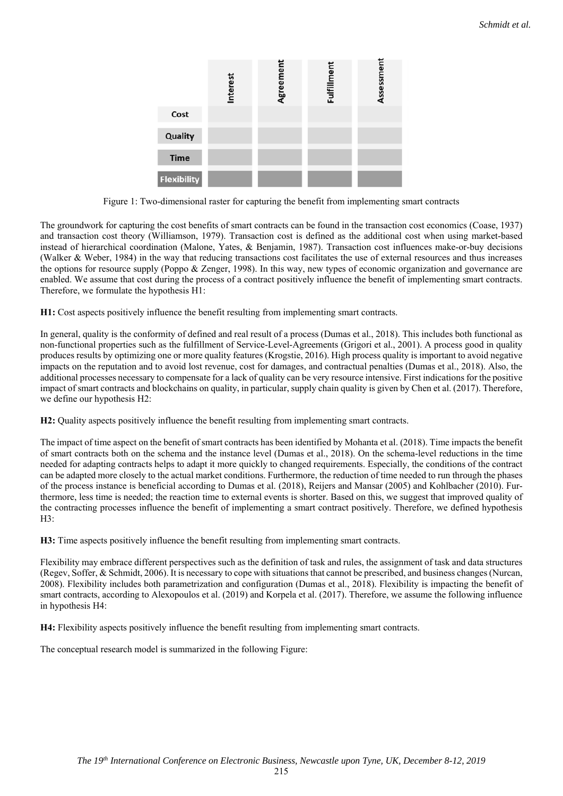

Figure 1: Two-dimensional raster for capturing the benefit from implementing smart contracts

The groundwork for capturing the cost benefits of smart contracts can be found in the transaction cost economics (Coase, 1937) and transaction cost theory (Williamson, 1979). Transaction cost is defined as the additional cost when using market-based instead of hierarchical coordination (Malone, Yates, & Benjamin, 1987). Transaction cost influences make-or-buy decisions (Walker & Weber, 1984) in the way that reducing transactions cost facilitates the use of external resources and thus increases the options for resource supply (Poppo & Zenger, 1998). In this way, new types of economic organization and governance are enabled. We assume that cost during the process of a contract positively influence the benefit of implementing smart contracts. Therefore, we formulate the hypothesis H1:

**H1:** Cost aspects positively influence the benefit resulting from implementing smart contracts.

In general, quality is the conformity of defined and real result of a process (Dumas et al., 2018). This includes both functional as non-functional properties such as the fulfillment of Service-Level-Agreements (Grigori et al., 2001). A process good in quality produces results by optimizing one or more quality features (Krogstie, 2016). High process quality is important to avoid negative impacts on the reputation and to avoid lost revenue, cost for damages, and contractual penalties (Dumas et al., 2018). Also, the additional processes necessary to compensate for a lack of quality can be very resource intensive. First indications for the positive impact of smart contracts and blockchains on quality, in particular, supply chain quality is given by Chen et al. (2017). Therefore, we define our hypothesis H2:

**H2:** Quality aspects positively influence the benefit resulting from implementing smart contracts.

The impact of time aspect on the benefit of smart contracts has been identified by Mohanta et al. (2018). Time impacts the benefit of smart contracts both on the schema and the instance level (Dumas et al., 2018). On the schema-level reductions in the time needed for adapting contracts helps to adapt it more quickly to changed requirements. Especially, the conditions of the contract can be adapted more closely to the actual market conditions. Furthermore, the reduction of time needed to run through the phases of the process instance is beneficial according to Dumas et al. (2018), Reijers and Mansar (2005) and Kohlbacher (2010). Furthermore, less time is needed; the reaction time to external events is shorter. Based on this, we suggest that improved quality of the contracting processes influence the benefit of implementing a smart contract positively. Therefore, we defined hypothesis  $H3.$ 

**H3:** Time aspects positively influence the benefit resulting from implementing smart contracts.

Flexibility may embrace different perspectives such as the definition of task and rules, the assignment of task and data structures (Regev, Soffer, & Schmidt, 2006). It is necessary to cope with situations that cannot be prescribed, and business changes (Nurcan, 2008). Flexibility includes both parametrization and configuration (Dumas et al., 2018). Flexibility is impacting the benefit of smart contracts, according to Alexopoulos et al. (2019) and Korpela et al. (2017). Therefore, we assume the following influence in hypothesis H4:

**H4:** Flexibility aspects positively influence the benefit resulting from implementing smart contracts.

The conceptual research model is summarized in the following Figure: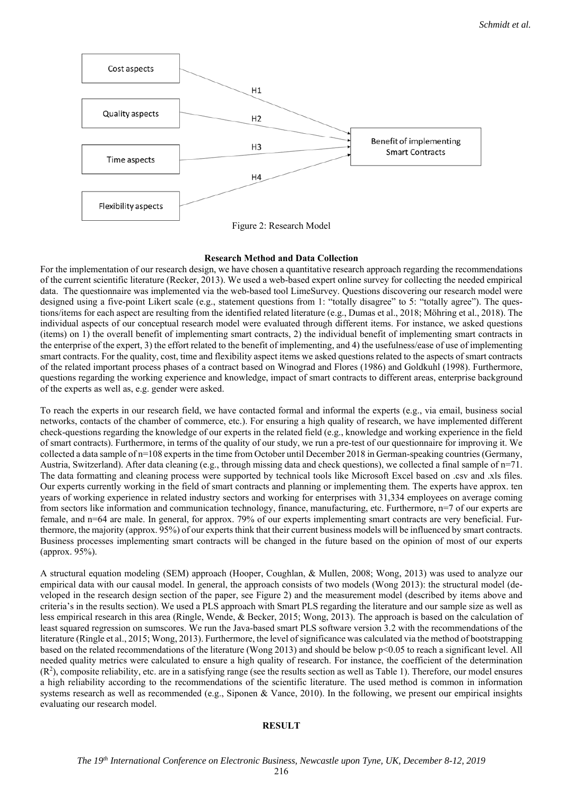

### **Research Method and Data Collection**

For the implementation of our research design, we have chosen a quantitative research approach regarding the recommendations of the current scientific literature (Recker, 2013). We used a web-based expert online survey for collecting the needed empirical data. The questionnaire was implemented via the web-based tool LimeSurvey. Questions discovering our research model were designed using a five-point Likert scale (e.g., statement questions from 1: "totally disagree" to 5: "totally agree"). The questions/items for each aspect are resulting from the identified related literature (e.g., Dumas et al., 2018; Möhring et al., 2018). The individual aspects of our conceptual research model were evaluated through different items. For instance, we asked questions (items) on 1) the overall benefit of implementing smart contracts, 2) the individual benefit of implementing smart contracts in the enterprise of the expert, 3) the effort related to the benefit of implementing, and 4) the usefulness/ease of use of implementing smart contracts. For the quality, cost, time and flexibility aspect items we asked questions related to the aspects of smart contracts of the related important process phases of a contract based on Winograd and Flores (1986) and Goldkuhl (1998). Furthermore, questions regarding the working experience and knowledge, impact of smart contracts to different areas, enterprise background of the experts as well as, e.g. gender were asked.

To reach the experts in our research field, we have contacted formal and informal the experts (e.g., via email, business social networks, contacts of the chamber of commerce, etc.). For ensuring a high quality of research, we have implemented different check-questions regarding the knowledge of our experts in the related field (e.g., knowledge and working experience in the field of smart contracts). Furthermore, in terms of the quality of our study, we run a pre-test of our questionnaire for improving it. We collected a data sample of n=108 experts in the time from October until December 2018 in German-speaking countries (Germany, Austria, Switzerland). After data cleaning (e.g., through missing data and check questions), we collected a final sample of n=71. The data formatting and cleaning process were supported by technical tools like Microsoft Excel based on .csv and .xls files. Our experts currently working in the field of smart contracts and planning or implementing them. The experts have approx. ten years of working experience in related industry sectors and working for enterprises with 31,334 employees on average coming from sectors like information and communication technology, finance, manufacturing, etc. Furthermore, n=7 of our experts are female, and n=64 are male. In general, for approx. 79% of our experts implementing smart contracts are very beneficial. Furthermore, the majority (approx. 95%) of our experts think that their current business models will be influenced by smart contracts. Business processes implementing smart contracts will be changed in the future based on the opinion of most of our experts (approx. 95%).

A structural equation modeling (SEM) approach (Hooper, Coughlan, & Mullen, 2008; Wong, 2013) was used to analyze our empirical data with our causal model. In general, the approach consists of two models (Wong 2013): the structural model (developed in the research design section of the paper, see Figure 2) and the measurement model (described by items above and criteria's in the results section). We used a PLS approach with Smart PLS regarding the literature and our sample size as well as less empirical research in this area (Ringle, Wende, & Becker, 2015; Wong, 2013). The approach is based on the calculation of least squared regression on sumscores. We run the Java-based smart PLS software version 3.2 with the recommendations of the literature (Ringle et al., 2015; Wong, 2013). Furthermore, the level of significance was calculated via the method of bootstrapping based on the related recommendations of the literature (Wong 2013) and should be below p<0.05 to reach a significant level. All needed quality metrics were calculated to ensure a high quality of research. For instance, the coefficient of the determination (R2 ), composite reliability, etc. are in a satisfying range (see the results section as well as Table 1). Therefore, our model ensures a high reliability according to the recommendations of the scientific literature. The used method is common in information systems research as well as recommended (e.g., Siponen & Vance, 2010). In the following, we present our empirical insights evaluating our research model.

### **RESULT**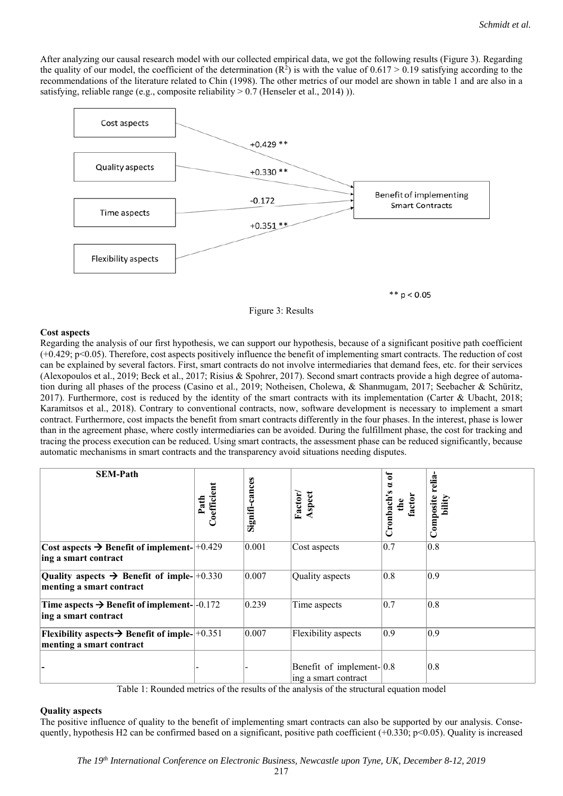After analyzing our causal research model with our collected empirical data, we got the following results (Figure 3). Regarding the quality of our model, the coefficient of the determination  $(R^2)$  is with the value of 0.617 > 0.19 satisfying according to the recommendations of the literature related to Chin (1998). The other metrics of our model are shown in table 1 and are also in a satisfying, reliable range (e.g., composite reliability  $> 0.7$  (Henseler et al., 2014))).



Figure 3: Results

# **Cost aspects**

Regarding the analysis of our first hypothesis, we can support our hypothesis, because of a significant positive path coefficient  $(+0.429; p<0.05)$ . Therefore, cost aspects positively influence the benefit of implementing smart contracts. The reduction of cost can be explained by several factors. First, smart contracts do not involve intermediaries that demand fees, etc. for their services (Alexopoulos et al., 2019; Beck et al., 2017; Risius & Spohrer, 2017). Second smart contracts provide a high degree of automation during all phases of the process (Casino et al., 2019; Notheisen, Cholewa, & Shanmugam, 2017; Seebacher & Schüritz, 2017). Furthermore, cost is reduced by the identity of the smart contracts with its implementation (Carter & Ubacht, 2018; Karamitsos et al., 2018). Contrary to conventional contracts, now, software development is necessary to implement a smart contract. Furthermore, cost impacts the benefit from smart contracts differently in the four phases. In the interest, phase is lower than in the agreement phase, where costly intermediaries can be avoided. During the fulfillment phase, the cost for tracking and tracing the process execution can be reduced. Using smart contracts, the assessment phase can be reduced significantly, because automatic mechanisms in smart contracts and the transparency avoid situations needing disputes.

| <b>SEM-Path</b>                                                                                    | Coefficient<br>Path | Signifi-cances | <b>Factor</b><br>Aspect                               | $\mathfrak{b}$<br>ರ<br>Cronbach<br>facto<br>$\mathbf{the}$ | relia-<br>Composite<br>bility |
|----------------------------------------------------------------------------------------------------|---------------------|----------------|-------------------------------------------------------|------------------------------------------------------------|-------------------------------|
| Cost aspects $\rightarrow$ Benefit of implement- $ +0.429 $<br>ing a smart contract                |                     | 0.001          | Cost aspects                                          | 0.7                                                        | 0.8                           |
| Quality aspects $\rightarrow$ Benefit of imple- $ +0.330 $<br>menting a smart contract             |                     | 0.007          | Quality aspects                                       | 0.8                                                        | 0.9                           |
| Time aspects $\rightarrow$ Benefit of implement- $\vert$ -0.172<br>ing a smart contract            |                     | 0.239          | Time aspects                                          | 0.7                                                        | 0.8                           |
| <b>Flexibility aspects &gt; Benefit of imple-</b> $\vert +0.351 \vert$<br>menting a smart contract |                     | 0.007          | Flexibility aspects                                   | 0.9                                                        | 0.9                           |
|                                                                                                    |                     |                | Benefit of implement- $ 0.8 $<br>ing a smart contract |                                                            | 0.8                           |

Table 1: Rounded metrics of the results of the analysis of the structural equation model

# **Quality aspects**

The positive influence of quality to the benefit of implementing smart contracts can also be supported by our analysis. Consequently, hypothesis H2 can be confirmed based on a significant, positive path coefficient (+0.330; p<0.05). Quality is increased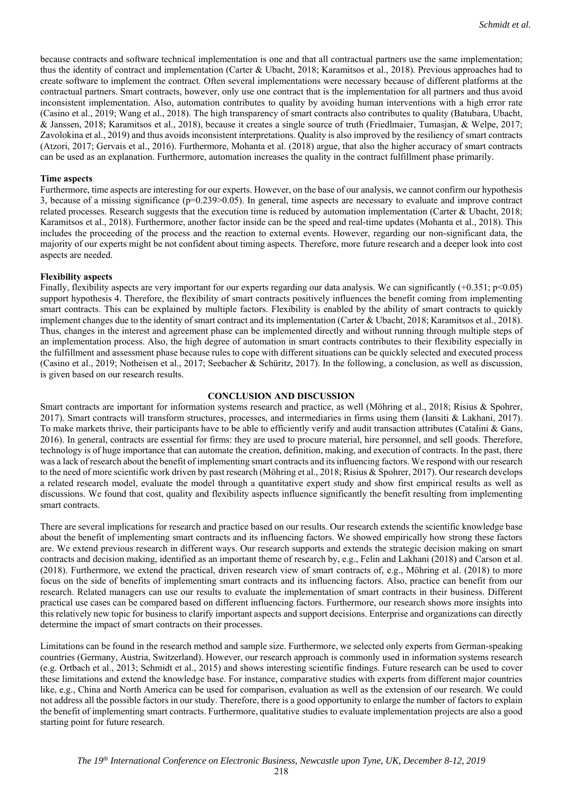because contracts and software technical implementation is one and that all contractual partners use the same implementation; thus the identity of contract and implementation (Carter & Ubacht, 2018; Karamitsos et al., 2018). Previous approaches had to create software to implement the contract. Often several implementations were necessary because of different platforms at the contractual partners. Smart contracts, however, only use one contract that is the implementation for all partners and thus avoid inconsistent implementation. Also, automation contributes to quality by avoiding human interventions with a high error rate (Casino et al., 2019; Wang et al., 2018). The high transparency of smart contracts also contributes to quality (Batubara, Ubacht, & Janssen, 2018; Karamitsos et al., 2018), because it creates a single source of truth (Friedlmaier, Tumasjan, & Welpe, 2017; Zavolokina et al., 2019) and thus avoids inconsistent interpretations. Quality is also improved by the resiliency of smart contracts (Atzori, 2017; Gervais et al., 2016). Furthermore, Mohanta et al. (2018) argue, that also the higher accuracy of smart contracts can be used as an explanation. Furthermore, automation increases the quality in the contract fulfillment phase primarily.

### **Time aspects**

Furthermore, time aspects are interesting for our experts. However, on the base of our analysis, we cannot confirm our hypothesis 3, because of a missing significance (p=0.239>0.05). In general, time aspects are necessary to evaluate and improve contract related processes. Research suggests that the execution time is reduced by automation implementation (Carter & Ubacht, 2018; Karamitsos et al., 2018). Furthermore, another factor inside can be the speed and real-time updates (Mohanta et al., 2018). This includes the proceeding of the process and the reaction to external events. However, regarding our non-significant data, the majority of our experts might be not confident about timing aspects. Therefore, more future research and a deeper look into cost aspects are needed.

### **Flexibility aspects**

Finally, flexibility aspects are very important for our experts regarding our data analysis. We can significantly (+0.351; p<0.05) support hypothesis 4. Therefore, the flexibility of smart contracts positively influences the benefit coming from implementing smart contracts. This can be explained by multiple factors. Flexibility is enabled by the ability of smart contracts to quickly implement changes due to the identity of smart contract and its implementation (Carter & Ubacht, 2018; Karamitsos et al., 2018). Thus, changes in the interest and agreement phase can be implemented directly and without running through multiple steps of an implementation process. Also, the high degree of automation in smart contracts contributes to their flexibility especially in the fulfillment and assessment phase because rules to cope with different situations can be quickly selected and executed process (Casino et al., 2019; Notheisen et al., 2017; Seebacher & Schüritz, 2017). In the following, a conclusion, as well as discussion, is given based on our research results.

#### **CONCLUSION AND DISCUSSION**

Smart contracts are important for information systems research and practice, as well (Möhring et al., 2018; Risius & Spohrer, 2017). Smart contracts will transform structures, processes, and intermediaries in firms using them (Iansiti & Lakhani, 2017). To make markets thrive, their participants have to be able to efficiently verify and audit transaction attributes (Catalini & Gans, 2016). In general, contracts are essential for firms: they are used to procure material, hire personnel, and sell goods. Therefore, technology is of huge importance that can automate the creation, definition, making, and execution of contracts. In the past, there was a lack of research about the benefit of implementing smart contracts and its influencing factors. We respond with our research to the need of more scientific work driven by past research (Möhring et al., 2018; Risius & Spohrer, 2017). Our research develops a related research model, evaluate the model through a quantitative expert study and show first empirical results as well as discussions. We found that cost, quality and flexibility aspects influence significantly the benefit resulting from implementing smart contracts.

There are several implications for research and practice based on our results. Our research extends the scientific knowledge base about the benefit of implementing smart contracts and its influencing factors. We showed empirically how strong these factors are. We extend previous research in different ways. Our research supports and extends the strategic decision making on smart contracts and decision making, identified as an important theme of research by, e.g., Felin and Lakhani (2018) and Carson et al. (2018). Furthermore, we extend the practical, driven research view of smart contracts of, e.g., Möhring et al. (2018) to more focus on the side of benefits of implementing smart contracts and its influencing factors. Also, practice can benefit from our research. Related managers can use our results to evaluate the implementation of smart contracts in their business. Different practical use cases can be compared based on different influencing factors. Furthermore, our research shows more insights into this relatively new topic for business to clarify important aspects and support decisions. Enterprise and organizations can directly determine the impact of smart contracts on their processes.

Limitations can be found in the research method and sample size. Furthermore, we selected only experts from German-speaking countries (Germany, Austria, Switzerland). However, our research approach is commonly used in information systems research (e.g. Ortbach et al., 2013; Schmidt et al., 2015) and shows interesting scientific findings. Future research can be used to cover these limitations and extend the knowledge base. For instance, comparative studies with experts from different major countries like, e.g., China and North America can be used for comparison, evaluation as well as the extension of our research. We could not address all the possible factors in our study. Therefore, there is a good opportunity to enlarge the number of factors to explain the benefit of implementing smart contracts. Furthermore, qualitative studies to evaluate implementation projects are also a good starting point for future research.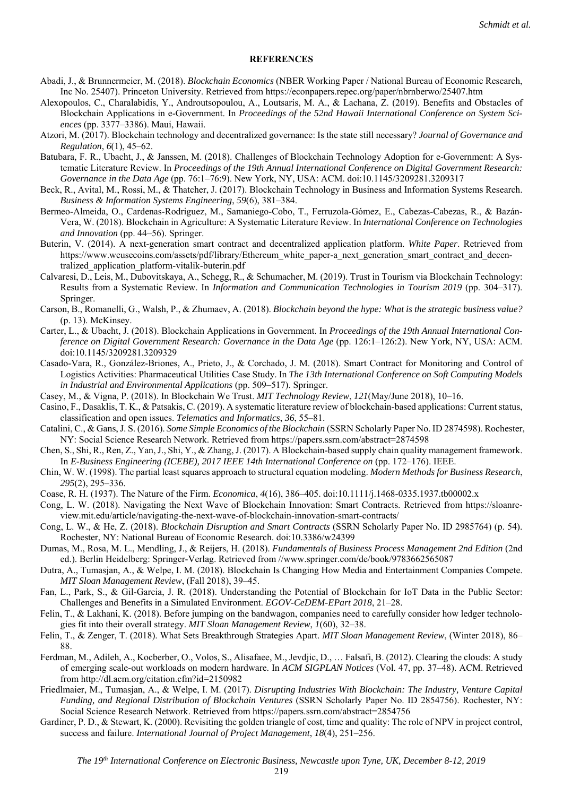### **REFERENCES**

- Abadi, J., & Brunnermeier, M. (2018). *Blockchain Economics* (NBER Working Paper / National Bureau of Economic Research, Inc No. 25407). Princeton University. Retrieved from https://econpapers.repec.org/paper/nbrnberwo/25407.htm
- Alexopoulos, C., Charalabidis, Y., Androutsopoulou, A., Loutsaris, M. A., & Lachana, Z. (2019). Benefits and Obstacles of Blockchain Applications in e-Government. In *Proceedings of the 52nd Hawaii International Conference on System Sciences* (pp. 3377–3386). Maui, Hawaii.
- Atzori, M. (2017). Blockchain technology and decentralized governance: Is the state still necessary? *Journal of Governance and Regulation*, *6*(1), 45–62.
- Batubara, F. R., Ubacht, J., & Janssen, M. (2018). Challenges of Blockchain Technology Adoption for e-Government: A Systematic Literature Review. In *Proceedings of the 19th Annual International Conference on Digital Government Research: Governance in the Data Age* (pp. 76:1–76:9). New York, NY, USA: ACM. doi:10.1145/3209281.3209317
- Beck, R., Avital, M., Rossi, M., & Thatcher, J. (2017). Blockchain Technology in Business and Information Systems Research. *Business & Information Systems Engineering*, *59*(6), 381–384.
- Bermeo-Almeida, O., Cardenas-Rodriguez, M., Samaniego-Cobo, T., Ferruzola-Gómez, E., Cabezas-Cabezas, R., & Bazán-Vera, W. (2018). Blockchain in Agriculture: A Systematic Literature Review. In *International Conference on Technologies and Innovation* (pp. 44–56). Springer.
- Buterin, V. (2014). A next-generation smart contract and decentralized application platform. *White Paper*. Retrieved from https://www.weusecoins.com/assets/pdf/library/Ethereum\_white\_paper-a\_next\_generation\_smart\_contract\_and\_decentralized\_application\_platform-vitalik-buterin.pdf
- Calvaresi, D., Leis, M., Dubovitskaya, A., Schegg, R., & Schumacher, M. (2019). Trust in Tourism via Blockchain Technology: Results from a Systematic Review. In *Information and Communication Technologies in Tourism 2019* (pp. 304–317). Springer.
- Carson, B., Romanelli, G., Walsh, P., & Zhumaev, A. (2018). *Blockchain beyond the hype: What is the strategic business value?* (p. 13). McKinsey.
- Carter, L., & Ubacht, J. (2018). Blockchain Applications in Government. In *Proceedings of the 19th Annual International Conference on Digital Government Research: Governance in the Data Age* (pp. 126:1–126:2). New York, NY, USA: ACM. doi:10.1145/3209281.3209329
- Casado-Vara, R., González-Briones, A., Prieto, J., & Corchado, J. M. (2018). Smart Contract for Monitoring and Control of Logistics Activities: Pharmaceutical Utilities Case Study. In *The 13th International Conference on Soft Computing Models in Industrial and Environmental Applications* (pp. 509–517). Springer.
- Casey, M., & Vigna, P. (2018). In Blockchain We Trust. *MIT Technology Review*, *121*(May/June 2018), 10–16.
- Casino, F., Dasaklis, T. K., & Patsakis, C. (2019). A systematic literature review of blockchain-based applications: Current status, classification and open issues. *Telematics and Informatics*, *36*, 55–81.
- Catalini, C., & Gans, J. S. (2016). *Some Simple Economics of the Blockchain* (SSRN Scholarly Paper No. ID 2874598). Rochester, NY: Social Science Research Network. Retrieved from https://papers.ssrn.com/abstract=2874598
- Chen, S., Shi, R., Ren, Z., Yan, J., Shi, Y., & Zhang, J. (2017). A Blockchain-based supply chain quality management framework. In *E-Business Engineering (ICEBE), 2017 IEEE 14th International Conference on* (pp. 172–176). IEEE.
- Chin, W. W. (1998). The partial least squares approach to structural equation modeling. *Modern Methods for Business Research*, *295*(2), 295–336.
- Coase, R. H. (1937). The Nature of the Firm. *Economica*, *4*(16), 386–405. doi:10.1111/j.1468-0335.1937.tb00002.x
- Cong, L. W. (2018). Navigating the Next Wave of Blockchain Innovation: Smart Contracts. Retrieved from https://sloanreview.mit.edu/article/navigating-the-next-wave-of-blockchain-innovation-smart-contracts/
- Cong, L. W., & He, Z. (2018). *Blockchain Disruption and Smart Contracts* (SSRN Scholarly Paper No. ID 2985764) (p. 54). Rochester, NY: National Bureau of Economic Research. doi:10.3386/w24399
- Dumas, M., Rosa, M. L., Mendling, J., & Reijers, H. (2018). *Fundamentals of Business Process Management 2nd Edition* (2nd ed.). Berlin Heidelberg: Springer-Verlag. Retrieved from //www.springer.com/de/book/9783662565087
- Dutra, A., Tumasjan, A., & Welpe, I. M. (2018). Blockchain Is Changing How Media and Entertainment Companies Compete. *MIT Sloan Management Review*, (Fall 2018), 39–45.
- Fan, L., Park, S., & Gil-Garcia, J. R. (2018). Understanding the Potential of Blockchain for IoT Data in the Public Sector: Challenges and Benefits in a Simulated Environment. *EGOV-CeDEM-EPart 2018*, 21–28.
- Felin, T., & Lakhani, K. (2018). Before jumping on the bandwagon, companies need to carefully consider how ledger technologies fit into their overall strategy. *MIT Sloan Management Review*, *1*(60), 32–38.
- Felin, T., & Zenger, T. (2018). What Sets Breakthrough Strategies Apart. *MIT Sloan Management Review*, (Winter 2018), 86– 88.
- Ferdman, M., Adileh, A., Kocberber, O., Volos, S., Alisafaee, M., Jevdjic, D., … Falsafi, B. (2012). Clearing the clouds: A study of emerging scale-out workloads on modern hardware. In *ACM SIGPLAN Notices* (Vol. 47, pp. 37–48). ACM. Retrieved from http://dl.acm.org/citation.cfm?id=2150982
- Friedlmaier, M., Tumasjan, A., & Welpe, I. M. (2017). *Disrupting Industries With Blockchain: The Industry, Venture Capital Funding, and Regional Distribution of Blockchain Ventures* (SSRN Scholarly Paper No. ID 2854756). Rochester, NY: Social Science Research Network. Retrieved from https://papers.ssrn.com/abstract=2854756
- Gardiner, P. D., & Stewart, K. (2000). Revisiting the golden triangle of cost, time and quality: The role of NPV in project control, success and failure. *International Journal of Project Management*, *18*(4), 251–256.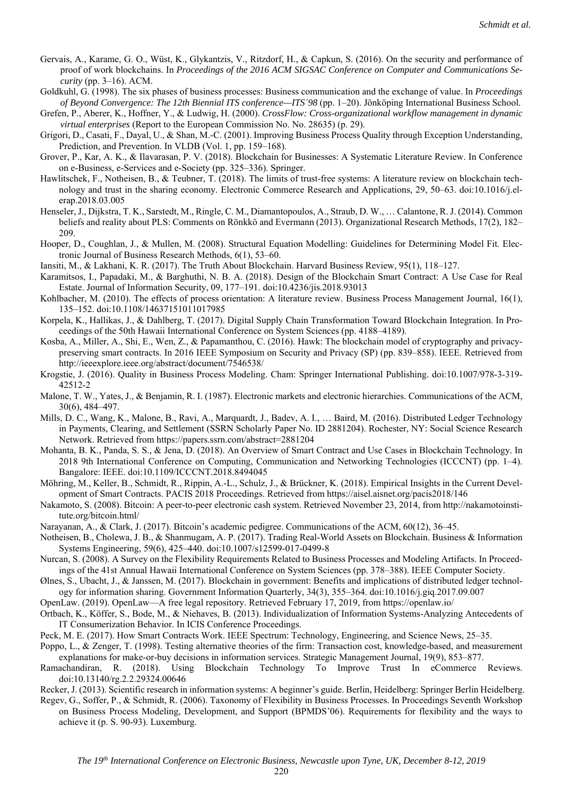- Gervais, A., Karame, G. O., Wüst, K., Glykantzis, V., Ritzdorf, H., & Capkun, S. (2016). On the security and performance of proof of work blockchains. In *Proceedings of the 2016 ACM SIGSAC Conference on Computer and Communications Security* (pp. 3–16). ACM.
- Goldkuhl, G. (1998). The six phases of business processes: Business communication and the exchange of value. In *Proceedings of Beyond Convergence: The 12th Biennial ITS conference—ITS´98* (pp. 1–20). Jönköping International Business School.

Grefen, P., Aberer, K., Hoffner, Y., & Ludwig, H. (2000). *CrossFlow: Cross-organizational workflow management in dynamic virtual enterprises* (Report to the European Commission No. No. 28635) (p. 29).

- Grigori, D., Casati, F., Dayal, U., & Shan, M.-C. (2001). Improving Business Process Quality through Exception Understanding, Prediction, and Prevention. In VLDB (Vol. 1, pp. 159–168).
- Grover, P., Kar, A. K., & Ilavarasan, P. V. (2018). Blockchain for Businesses: A Systematic Literature Review. In Conference on e-Business, e-Services and e-Society (pp. 325–336). Springer.
- Hawlitschek, F., Notheisen, B., & Teubner, T. (2018). The limits of trust-free systems: A literature review on blockchain technology and trust in the sharing economy. Electronic Commerce Research and Applications, 29, 50–63. doi:10.1016/j.elerap.2018.03.005
- Henseler, J., Dijkstra, T. K., Sarstedt, M., Ringle, C. M., Diamantopoulos, A., Straub, D. W., … Calantone, R. J. (2014). Common beliefs and reality about PLS: Comments on Rönkkö and Evermann (2013). Organizational Research Methods, 17(2), 182– 209.
- Hooper, D., Coughlan, J., & Mullen, M. (2008). Structural Equation Modelling: Guidelines for Determining Model Fit. Electronic Journal of Business Research Methods, 6(1), 53–60.
- Iansiti, M., & Lakhani, K. R. (2017). The Truth About Blockchain. Harvard Business Review, 95(1), 118–127.
- Karamitsos, I., Papadaki, M., & Barghuthi, N. B. A. (2018). Design of the Blockchain Smart Contract: A Use Case for Real Estate. Journal of Information Security, 09, 177–191. doi:10.4236/jis.2018.93013
- Kohlbacher, M. (2010). The effects of process orientation: A literature review. Business Process Management Journal, 16(1), 135–152. doi:10.1108/14637151011017985
- Korpela, K., Hallikas, J., & Dahlberg, T. (2017). Digital Supply Chain Transformation Toward Blockchain Integration. In Proceedings of the 50th Hawaii International Conference on System Sciences (pp. 4188–4189).
- Kosba, A., Miller, A., Shi, E., Wen, Z., & Papamanthou, C. (2016). Hawk: The blockchain model of cryptography and privacypreserving smart contracts. In 2016 IEEE Symposium on Security and Privacy (SP) (pp. 839–858). IEEE. Retrieved from http://ieeexplore.ieee.org/abstract/document/7546538/
- Krogstie, J. (2016). Quality in Business Process Modeling. Cham: Springer International Publishing. doi:10.1007/978-3-319- 42512-2
- Malone, T. W., Yates, J., & Benjamin, R. I. (1987). Electronic markets and electronic hierarchies. Communications of the ACM, 30(6), 484–497.
- Mills, D. C., Wang, K., Malone, B., Ravi, A., Marquardt, J., Badev, A. I., … Baird, M. (2016). Distributed Ledger Technology in Payments, Clearing, and Settlement (SSRN Scholarly Paper No. ID 2881204). Rochester, NY: Social Science Research Network. Retrieved from https://papers.ssrn.com/abstract=2881204
- Mohanta, B. K., Panda, S. S., & Jena, D. (2018). An Overview of Smart Contract and Use Cases in Blockchain Technology. In 2018 9th International Conference on Computing, Communication and Networking Technologies (ICCCNT) (pp. 1–4). Bangalore: IEEE. doi:10.1109/ICCCNT.2018.8494045
- Möhring, M., Keller, B., Schmidt, R., Rippin, A.-L., Schulz, J., & Brückner, K. (2018). Empirical Insights in the Current Development of Smart Contracts. PACIS 2018 Proceedings. Retrieved from https://aisel.aisnet.org/pacis2018/146
- Nakamoto, S. (2008). Bitcoin: A peer-to-peer electronic cash system. Retrieved November 23, 2014, from http://nakamotoinstitute.org/bitcoin.html/
- Narayanan, A., & Clark, J. (2017). Bitcoin's academic pedigree. Communications of the ACM, 60(12), 36–45.
- Notheisen, B., Cholewa, J. B., & Shanmugam, A. P. (2017). Trading Real-World Assets on Blockchain. Business & Information Systems Engineering, 59(6), 425–440. doi:10.1007/s12599-017-0499-8
- Nurcan, S. (2008). A Survey on the Flexibility Requirements Related to Business Processes and Modeling Artifacts. In Proceedings of the 41st Annual Hawaii International Conference on System Sciences (pp. 378–388). IEEE Computer Society.
- Ølnes, S., Ubacht, J., & Janssen, M. (2017). Blockchain in government: Benefits and implications of distributed ledger technology for information sharing. Government Information Quarterly, 34(3), 355–364. doi:10.1016/j.giq.2017.09.007
- OpenLaw. (2019). OpenLaw—A free legal repository. Retrieved February 17, 2019, from https://openlaw.io/
- Ortbach, K., Köffer, S., Bode, M., & Niehaves, B. (2013). Individualization of Information Systems-Analyzing Antecedents of IT Consumerization Behavior. In ICIS Conference Proceedings.
- Peck, M. E. (2017). How Smart Contracts Work. IEEE Spectrum: Technology, Engineering, and Science News, 25–35.
- Poppo, L., & Zenger, T. (1998). Testing alternative theories of the firm: Transaction cost, knowledge-based, and measurement explanations for make-or-buy decisions in information services. Strategic Management Journal, 19(9), 853–877.
- Ramachandiran, R. (2018). Using Blockchain Technology To Improve Trust In eCommerce Reviews. doi:10.13140/rg.2.2.29324.00646
- Recker, J. (2013). Scientific research in information systems: A beginner's guide. Berlin, Heidelberg: Springer Berlin Heidelberg.
- Regev, G., Soffer, P., & Schmidt, R. (2006). Taxonomy of Flexibility in Business Processes. In Proceedings Seventh Workshop on Business Process Modeling, Development, and Support (BPMDS'06). Requirements for flexibility and the ways to achieve it (p. S. 90-93). Luxemburg.

220